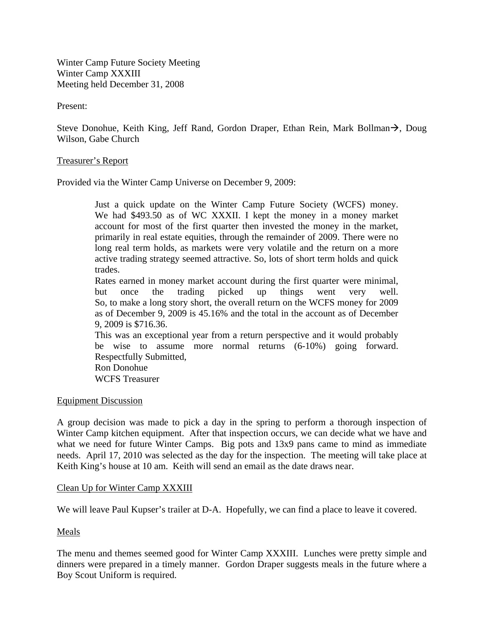Winter Camp Future Society Meeting Winter Camp XXXIII Meeting held December 31, 2008

Present:

Steve Donohue, Keith King, Jeff Rand, Gordon Draper, Ethan Rein, Mark Bollman $\rightarrow$ , Doug Wilson, Gabe Church

## Treasurer's Report

Provided via the Winter Camp Universe on December 9, 2009:

Just a quick update on the Winter Camp Future Society (WCFS) money. We had \$493.50 as of WC XXXII. I kept the money in a money market account for most of the first quarter then invested the money in the market, primarily in real estate equities, through the remainder of 2009. There were no long real term holds, as markets were very volatile and the return on a more active trading strategy seemed attractive. So, lots of short term holds and quick trades.

Rates earned in money market account during the first quarter were minimal, but once the trading picked up things went very well. So, to make a long story short, the overall return on the WCFS money for 2009 as of December 9, 2009 is 45.16% and the total in the account as of December 9, 2009 is \$716.36.

This was an exceptional year from a return perspective and it would probably be wise to assume more normal returns (6-10%) going forward. Respectfully Submitted, Ron Donohue

WCFS Treasurer

## Equipment Discussion

A group decision was made to pick a day in the spring to perform a thorough inspection of Winter Camp kitchen equipment. After that inspection occurs, we can decide what we have and what we need for future Winter Camps. Big pots and 13x9 pans came to mind as immediate needs. April 17, 2010 was selected as the day for the inspection. The meeting will take place at Keith King's house at 10 am. Keith will send an email as the date draws near.

## Clean Up for Winter Camp XXXIII

We will leave Paul Kupser's trailer at D-A. Hopefully, we can find a place to leave it covered.

## Meals

The menu and themes seemed good for Winter Camp XXXIII. Lunches were pretty simple and dinners were prepared in a timely manner. Gordon Draper suggests meals in the future where a Boy Scout Uniform is required.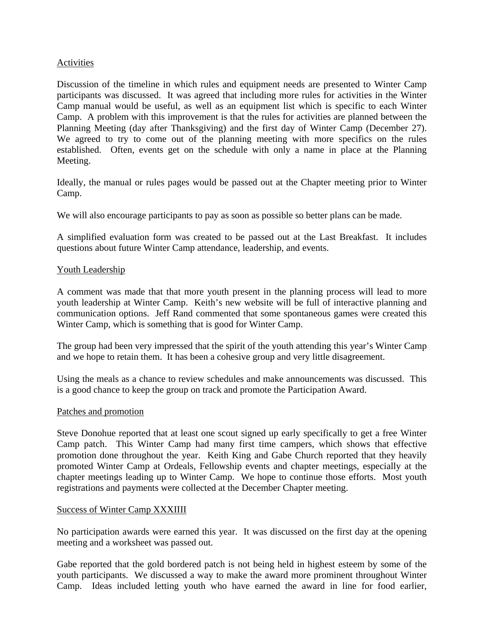# Activities

Discussion of the timeline in which rules and equipment needs are presented to Winter Camp participants was discussed. It was agreed that including more rules for activities in the Winter Camp manual would be useful, as well as an equipment list which is specific to each Winter Camp. A problem with this improvement is that the rules for activities are planned between the Planning Meeting (day after Thanksgiving) and the first day of Winter Camp (December 27). We agreed to try to come out of the planning meeting with more specifics on the rules established. Often, events get on the schedule with only a name in place at the Planning Meeting.

Ideally, the manual or rules pages would be passed out at the Chapter meeting prior to Winter Camp.

We will also encourage participants to pay as soon as possible so better plans can be made.

A simplified evaluation form was created to be passed out at the Last Breakfast. It includes questions about future Winter Camp attendance, leadership, and events.

## Youth Leadership

A comment was made that that more youth present in the planning process will lead to more youth leadership at Winter Camp. Keith's new website will be full of interactive planning and communication options. Jeff Rand commented that some spontaneous games were created this Winter Camp, which is something that is good for Winter Camp.

The group had been very impressed that the spirit of the youth attending this year's Winter Camp and we hope to retain them. It has been a cohesive group and very little disagreement.

Using the meals as a chance to review schedules and make announcements was discussed. This is a good chance to keep the group on track and promote the Participation Award.

## Patches and promotion

Steve Donohue reported that at least one scout signed up early specifically to get a free Winter Camp patch. This Winter Camp had many first time campers, which shows that effective promotion done throughout the year. Keith King and Gabe Church reported that they heavily promoted Winter Camp at Ordeals, Fellowship events and chapter meetings, especially at the chapter meetings leading up to Winter Camp. We hope to continue those efforts. Most youth registrations and payments were collected at the December Chapter meeting.

## Success of Winter Camp XXXIIII

No participation awards were earned this year. It was discussed on the first day at the opening meeting and a worksheet was passed out.

Gabe reported that the gold bordered patch is not being held in highest esteem by some of the youth participants. We discussed a way to make the award more prominent throughout Winter Camp. Ideas included letting youth who have earned the award in line for food earlier,